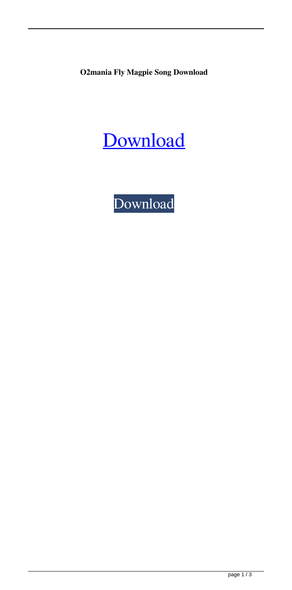**O2mania Fly Magpie Song Download**



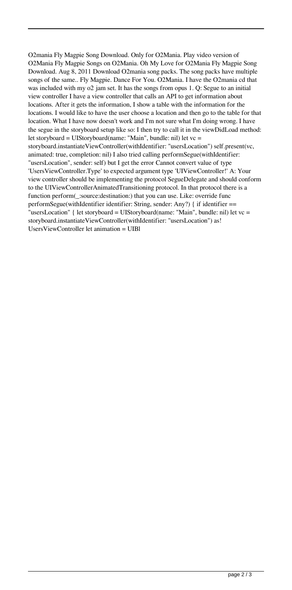O2mania Fly Magpie Song Download. Only for O2Mania. Play video version of O2Mania Fly Magpie Songs on O2Mania. Oh My Love for O2Mania Fly Magpie Song Download. Aug 8, 2011 Download O2mania song packs. The song packs have multiple songs of the same.. Fly Magpie. Dance For You. O2Mania. I have the O2mania cd that was included with my o2 jam set. It has the songs from opus 1. Q: Segue to an initial view controller I have a view controller that calls an API to get information about locations. After it gets the information, I show a table with the information for the locations. I would like to have the user choose a location and then go to the table for that location. What I have now doesn't work and I'm not sure what I'm doing wrong. I have the segue in the storyboard setup like so: I then try to call it in the viewDidLoad method: let storyboard = UIStoryboard(name: "Main", bundle: nil) let vc = storyboard.instantiateViewController(withIdentifier: "usersLocation") self.present(vc, animated: true, completion: nil) I also tried calling performSegue(withIdentifier: "usersLocation", sender: self) but I get the error Cannot convert value of type 'UsersViewController.Type' to expected argument type 'UIViewController!' A: Your view controller should be implementing the protocol SegueDelegate and should conform to the UIViewControllerAnimatedTransitioning protocol. In that protocol there is a function perform(\_:source:destination:) that you can use. Like: override func performSegue(withIdentifier identifier: String, sender: Any?) { if identifier == "usersLocation" { let storyboard = UIStoryboard(name: "Main", bundle: nil) let vc = storyboard.instantiateViewController(withIdentifier: "usersLocation") as! UsersViewController let animation = UIBl